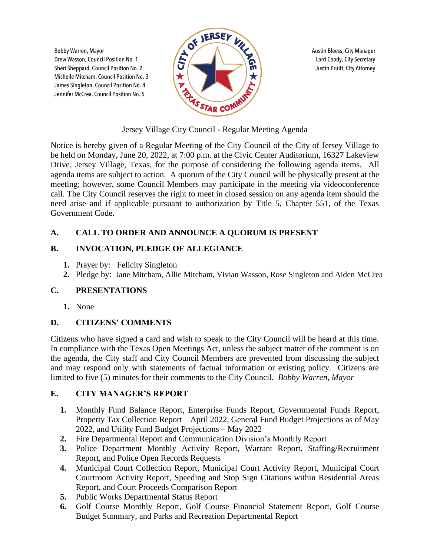Michelle Mitcham, Council Position No. 3 James Singleton, Council Position No. 4 Jennifer McCrea, Council Position No. 5



Jersey Village City Council - Regular Meeting Agenda

Notice is hereby given of a Regular Meeting of the City Council of the City of Jersey Village to be held on Monday, June 20, 2022, at 7:00 p.m. at the Civic Center Auditorium, 16327 Lakeview Drive, Jersey Village, Texas, for the purpose of considering the following agenda items. All agenda items are subject to action. A quorum of the City Council will be physically present at the meeting; however, some Council Members may participate in the meeting via videoconference call. The City Council reserves the right to meet in closed session on any agenda item should the need arise and if applicable pursuant to authorization by Title 5, Chapter 551, of the Texas Government Code.

# **A. CALL TO ORDER AND ANNOUNCE A QUORUM IS PRESENT**

## **B. INVOCATION, PLEDGE OF ALLEGIANCE**

- **1.** Prayer by: Felicity Singleton
- **2.** Pledge by: Jane Mitcham, Allie Mitcham, Vivian Wasson, Rose Singleton and Aiden McCrea

## **C. PRESENTATIONS**

**1.** None

# **D. CITIZENS' COMMENTS**

Citizens who have signed a card and wish to speak to the City Council will be heard at this time. In compliance with the Texas Open Meetings Act, unless the subject matter of the comment is on the agenda, the City staff and City Council Members are prevented from discussing the subject and may respond only with statements of factual information or existing policy. Citizens are limited to five (5) minutes for their comments to the City Council. *Bobby Warren, Mayor*

## **E. CITY MANAGER'S REPORT**

- **1.** Monthly Fund Balance Report, Enterprise Funds Report, Governmental Funds Report, Property Tax Collection Report – April 2022, General Fund Budget Projections as of May 2022, and Utility Fund Budget Projections – May 2022
- **2.** Fire Departmental Report and Communication Division's Monthly Report
- **3.** Police Department Monthly Activity Report, Warrant Report, Staffing/Recruitment Report, and Police Open Records Requests
- **4.** Municipal Court Collection Report, Municipal Court Activity Report, Municipal Court Courtroom Activity Report, Speeding and Stop Sign Citations within Residential Areas Report, and Court Proceeds Comparison Report
- **5.** Public Works Departmental Status Report
- **6.** Golf Course Monthly Report, Golf Course Financial Statement Report, Golf Course Budget Summary, and Parks and Recreation Departmental Report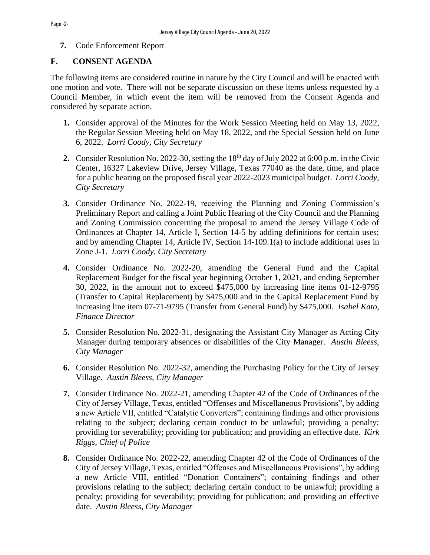**7.** Code Enforcement Report

### **F. CONSENT AGENDA**

The following items are considered routine in nature by the City Council and will be enacted with one motion and vote. There will not be separate discussion on these items unless requested by a Council Member, in which event the item will be removed from the Consent Agenda and considered by separate action.

- **1.** Consider approval of the Minutes for the Work Session Meeting held on May 13, 2022, the Regular Session Meeting held on May 18, 2022, and the Special Session held on June 6, 2022. *Lorri Coody, City Secretary*
- **2.** Consider Resolution No. 2022-30, setting the 18<sup>th</sup> day of July 2022 at 6:00 p.m. in the Civic Center, 16327 Lakeview Drive, Jersey Village, Texas 77040 as the date, time, and place for a public hearing on the proposed fiscal year 2022-2023 municipal budget. *Lorri Coody, City Secretary*
- **3.** Consider Ordinance No. 2022-19, receiving the Planning and Zoning Commission's Preliminary Report and calling a Joint Public Hearing of the City Council and the Planning and Zoning Commission concerning the proposal to amend the Jersey Village Code of Ordinances at Chapter 14, Article I, Section 14-5 by adding definitions for certain uses; and by amending Chapter 14, Article IV, Section 14-109.1(a) to include additional uses in Zone J-1. *Lorri Coody, City Secretary*
- **4.** Consider Ordinance No. 2022-20, amending the General Fund and the Capital Replacement Budget for the fiscal year beginning October 1, 2021, and ending September 30, 2022, in the amount not to exceed \$475,000 by increasing line items 01-12-9795 (Transfer to Capital Replacement) by \$475,000 and in the Capital Replacement Fund by increasing line item 07-71-9795 (Transfer from General Fund) by \$475,000. *Isabel Kato, Finance Director*
- **5.** Consider Resolution No. 2022-31, designating the Assistant City Manager as Acting City Manager during temporary absences or disabilities of the City Manager. *Austin Bleess, City Manager*
- **6.** Consider Resolution No. 2022-32, amending the Purchasing Policy for the City of Jersey Village. *Austin Bleess, City Manager*
- **7.** Consider Ordinance No. 2022-21, amending Chapter 42 of the Code of Ordinances of the City of Jersey Village, Texas, entitled "Offenses and Miscellaneous Provisions", by adding a new Article VII, entitled "Catalytic Converters"; containing findings and other provisions relating to the subject; declaring certain conduct to be unlawful; providing a penalty; providing for severability; providing for publication; and providing an effective date. *Kirk Riggs, Chief of Police*
- **8.** Consider Ordinance No. 2022-22, amending Chapter 42 of the Code of Ordinances of the City of Jersey Village, Texas, entitled "Offenses and Miscellaneous Provisions", by adding a new Article VIII, entitled "Donation Containers"; containing findings and other provisions relating to the subject; declaring certain conduct to be unlawful; providing a penalty; providing for severability; providing for publication; and providing an effective date. *Austin Bleess, City Manager*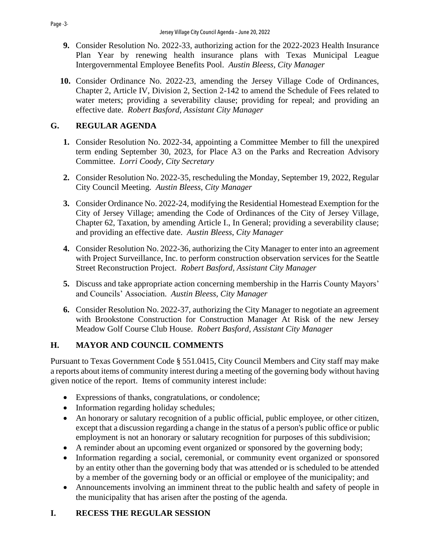- **9.** Consider Resolution No. 2022-33, authorizing action for the 2022-2023 Health Insurance Plan Year by renewing health insurance plans with Texas Municipal League Intergovernmental Employee Benefits Pool. *Austin Bleess, City Manager*
- **10.** Consider Ordinance No. 2022-23, amending the Jersey Village Code of Ordinances, Chapter 2, Article IV, Division 2, Section 2-142 to amend the Schedule of Fees related to water meters; providing a severability clause; providing for repeal; and providing an effective date. *Robert Basford, Assistant City Manager*

# **G. REGULAR AGENDA**

- **1.** Consider Resolution No. 2022-34, appointing a Committee Member to fill the unexpired term ending September 30, 2023, for Place A3 on the Parks and Recreation Advisory Committee. *Lorri Coody, City Secretary*
- **2.** Consider Resolution No. 2022-35, rescheduling the Monday, September 19, 2022, Regular City Council Meeting. *Austin Bleess, City Manager*
- **3.** Consider Ordinance No. 2022-24, modifying the Residential Homestead Exemption for the City of Jersey Village; amending the Code of Ordinances of the City of Jersey Village, Chapter 62, Taxation, by amending Article I., In General; providing a severability clause; and providing an effective date. *Austin Bleess, City Manager*
- **4.** Consider Resolution No. 2022-36, authorizing the City Manager to enter into an agreement with Project Surveillance, Inc. to perform construction observation services for the Seattle Street Reconstruction Project. *Robert Basford, Assistant City Manager*
- **5.** Discuss and take appropriate action concerning membership in the Harris County Mayors' and Councils' Association. *Austin Bleess, City Manager*
- **6.** Consider Resolution No. 2022-37, authorizing the City Manager to negotiate an agreement with Brookstone Construction for Construction Manager At Risk of the new Jersey Meadow Golf Course Club House. *Robert Basford, Assistant City Manager*

# **H. MAYOR AND COUNCIL COMMENTS**

Pursuant to Texas Government Code § 551.0415, City Council Members and City staff may make a reports about items of community interest during a meeting of the governing body without having given notice of the report. Items of community interest include:

- Expressions of thanks, congratulations, or condolence;
- Information regarding holiday schedules;
- An honorary or salutary recognition of a public official, public employee, or other citizen, except that a discussion regarding a change in the status of a person's public office or public employment is not an honorary or salutary recognition for purposes of this subdivision;
- A reminder about an upcoming event organized or sponsored by the governing body;
- Information regarding a social, ceremonial, or community event organized or sponsored by an entity other than the governing body that was attended or is scheduled to be attended by a member of the governing body or an official or employee of the municipality; and
- Announcements involving an imminent threat to the public health and safety of people in the municipality that has arisen after the posting of the agenda.

# **I. RECESS THE REGULAR SESSION**